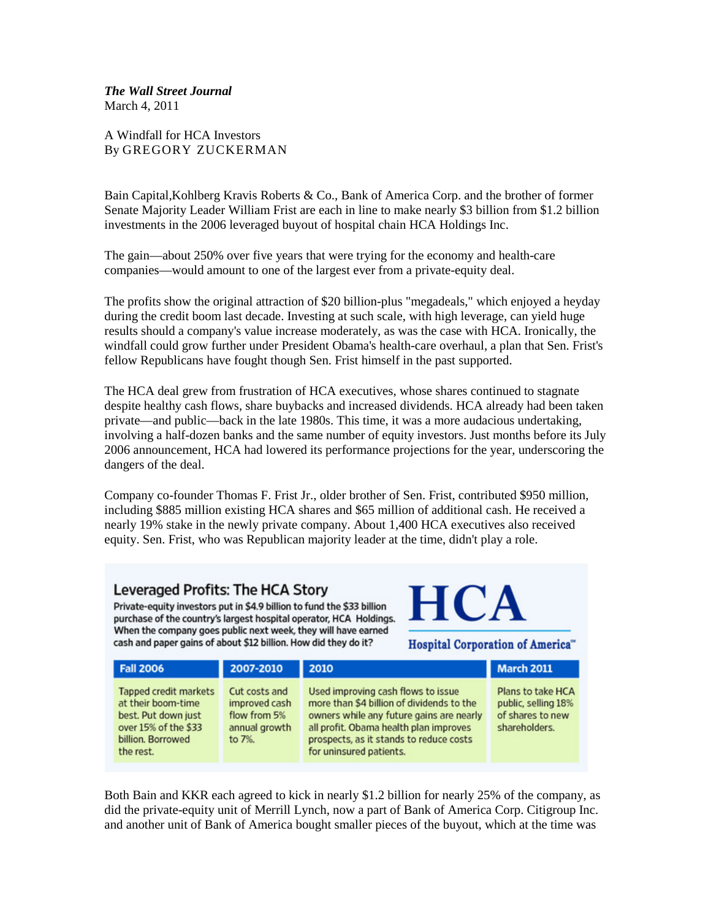*The Wall Street Journal* March 4, 2011

A Windfall for HCA Investors By [GREGORY ZUCKERMAN](http://online.wsj.com/search/term.html?KEYWORDS=GREGORY+ZUCKERMAN&bylinesearch=true)

Bain Capital,Kohlberg Kravis Roberts & Co., [Bank of America](http://online.wsj.com/public/quotes/main.html?type=djn&symbol=BAC) Corp. and the brother of former Senate Majority Leader William Frist are each in line to make nearly \$3 billion from \$1.2 billion investments in the 2006 leveraged buyout of hospital chain HCA Holdings Inc.

The gain—about 250% over five years that were trying for the economy and health-care companies—would amount to one of the largest ever from a private-equity deal.

The profits show the original attraction of \$20 billion-plus "megadeals," which enjoyed a heyday during the credit boom last decade. Investing at such scale, with high leverage, can yield huge results should a company's value increase moderately, as was the case with HCA. Ironically, the windfall could grow further under President Obama's health-care overhaul, a plan that Sen. Frist's fellow Republicans have fought though Sen. Frist himself in the past supported.

The HCA deal grew from frustration of HCA executives, whose shares continued to stagnate despite healthy cash flows, share buybacks and increased dividends. HCA already had been taken private—and public—back in the late 1980s. This time, it was a more audacious undertaking, involving a half-dozen banks and the same number of equity investors. Just months before its July 2006 announcement, HCA had lowered its performance projections for the year, underscoring the dangers of the deal.

Company co-founder Thomas F. Frist Jr., older brother of Sen. Frist, contributed \$950 million, including \$885 million existing HCA shares and \$65 million of additional cash. He received a nearly 19% stake in the newly private company. About 1,400 HCA executives also received equity. Sen. Frist, who was Republican majority leader at the time, didn't play a role.

## Leveraged Profits: The HCA Story

Private-equity investors put in \$4.9 billion to fund the \$33 billion purchase of the country's largest hospital operator, HCA Holdings. When the company goes public next week, they will have earned cash and paper gains of about \$12 billion. How did they do it?

**HCA** 

**Hospital Corporation of America"** 

| <b>Fall 2006</b>                                                                                                             | 2007-2010                                                                 | 2010                                                                                                                                                                                                                                        | <b>March 2011</b>                                                             |
|------------------------------------------------------------------------------------------------------------------------------|---------------------------------------------------------------------------|---------------------------------------------------------------------------------------------------------------------------------------------------------------------------------------------------------------------------------------------|-------------------------------------------------------------------------------|
| Tapped credit markets<br>at their boom-time<br>best. Put down just<br>over 15% of the \$33<br>billion. Borrowed<br>the rest. | Cut costs and<br>improved cash<br>flow from 5%<br>annual growth<br>to 7%. | Used improving cash flows to issue<br>more than \$4 billion of dividends to the<br>owners while any future gains are nearly<br>all profit. Obama health plan improves<br>prospects, as it stands to reduce costs<br>for uninsured patients. | Plans to take HCA<br>public, selling 18%<br>of shares to new<br>shareholders. |

Both Bain and KKR each agreed to kick in nearly \$1.2 billion for nearly 25% of the company, as did the private-equity unit of Merrill Lynch, now a part of Bank of America Corp. Citigroup Inc. and another unit of Bank of America bought smaller pieces of the buyout, which at the time was